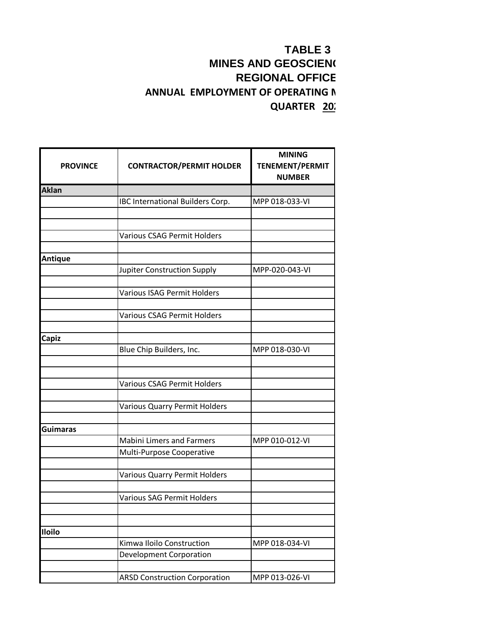## **TABLE 3 MINES AND GEOSCIEN( REGIONAL OFFICE ANNUAL EMPLOYMENT OF OPERATING M QUARTER 2021**

| <b>PROVINCE</b> | <b>CONTRACTOR/PERMIT HOLDER</b>      | <b>MINING</b><br><b>TENEMENT/PERMIT</b><br><b>NUMBER</b> |  |
|-----------------|--------------------------------------|----------------------------------------------------------|--|
| <b>Aklan</b>    |                                      |                                                          |  |
|                 | IBC International Builders Corp.     | MPP 018-033-VI                                           |  |
|                 |                                      |                                                          |  |
|                 |                                      |                                                          |  |
|                 | <b>Various CSAG Permit Holders</b>   |                                                          |  |
|                 |                                      |                                                          |  |
| <b>Antique</b>  |                                      |                                                          |  |
|                 | Jupiter Construction Supply          | MPP-020-043-VI                                           |  |
|                 |                                      |                                                          |  |
|                 | <b>Various ISAG Permit Holders</b>   |                                                          |  |
|                 |                                      |                                                          |  |
|                 | <b>Various CSAG Permit Holders</b>   |                                                          |  |
|                 |                                      |                                                          |  |
| Capiz           |                                      |                                                          |  |
|                 | Blue Chip Builders, Inc.             | MPP 018-030-VI                                           |  |
|                 |                                      |                                                          |  |
|                 |                                      |                                                          |  |
|                 | Various CSAG Permit Holders          |                                                          |  |
|                 | Various Quarry Permit Holders        |                                                          |  |
|                 |                                      |                                                          |  |
| <b>Guimaras</b> |                                      |                                                          |  |
|                 | <b>Mabini Limers and Farmers</b>     | MPP 010-012-VI                                           |  |
|                 | Multi-Purpose Cooperative            |                                                          |  |
|                 |                                      |                                                          |  |
|                 | Various Quarry Permit Holders        |                                                          |  |
|                 |                                      |                                                          |  |
|                 | <b>Various SAG Permit Holders</b>    |                                                          |  |
|                 |                                      |                                                          |  |
|                 |                                      |                                                          |  |
| Iloilo          |                                      |                                                          |  |
|                 | Kimwa Iloilo Construction            | MPP 018-034-VI                                           |  |
|                 | <b>Development Corporation</b>       |                                                          |  |
|                 |                                      |                                                          |  |
|                 | <b>ARSD Construction Corporation</b> | MPP 013-026-VI                                           |  |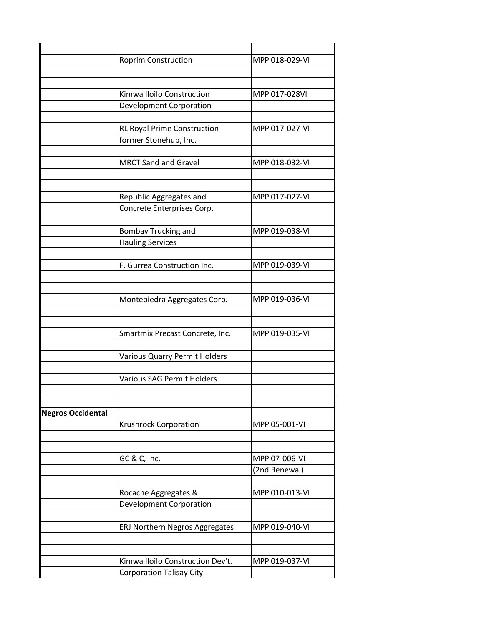|                          | <b>Roprim Construction</b>         | MPP 018-029-VI |
|--------------------------|------------------------------------|----------------|
|                          |                                    |                |
|                          |                                    |                |
|                          |                                    |                |
|                          | Kimwa Iloilo Construction          | MPP 017-028VI  |
|                          | <b>Development Corporation</b>     |                |
|                          |                                    |                |
|                          | <b>RL Royal Prime Construction</b> | MPP 017-027-VI |
|                          | former Stonehub, Inc.              |                |
|                          |                                    |                |
|                          | <b>MRCT Sand and Gravel</b>        | MPP 018-032-VI |
|                          |                                    |                |
|                          |                                    |                |
|                          | Republic Aggregates and            | MPP 017-027-VI |
|                          | Concrete Enterprises Corp.         |                |
|                          |                                    |                |
|                          | <b>Bombay Trucking and</b>         | MPP 019-038-VI |
|                          | <b>Hauling Services</b>            |                |
|                          |                                    |                |
|                          | F. Gurrea Construction Inc.        | MPP 019-039-VI |
|                          |                                    |                |
|                          |                                    |                |
|                          | Montepiedra Aggregates Corp.       | MPP 019-036-VI |
|                          |                                    |                |
|                          |                                    |                |
|                          |                                    | MPP 019-035-VI |
|                          | Smartmix Precast Concrete, Inc.    |                |
|                          |                                    |                |
|                          | Various Quarry Permit Holders      |                |
|                          |                                    |                |
|                          | Various SAG Permit Holders         |                |
|                          |                                    |                |
|                          |                                    |                |
| <b>Negros Occidental</b> |                                    |                |
|                          | Krushrock Corporation              | MPP 05-001-VI  |
|                          |                                    |                |
|                          |                                    |                |
|                          | GC & C, Inc.                       | MPP 07-006-VI  |
|                          |                                    | (2nd Renewal)  |
|                          |                                    |                |
|                          | Rocache Aggregates &               | MPP 010-013-VI |
|                          | <b>Development Corporation</b>     |                |
|                          |                                    |                |
|                          | ERJ Northern Negros Aggregates     | MPP 019-040-VI |
|                          |                                    |                |
|                          |                                    |                |
|                          | Kimwa Iloilo Construction Dev't.   | MPP 019-037-VI |
|                          |                                    |                |
|                          | <b>Corporation Talisay City</b>    |                |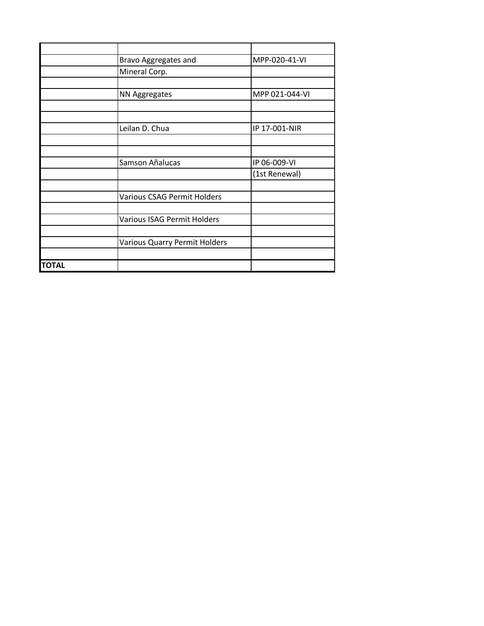| <b>TOTAL</b> |                                    |                |
|--------------|------------------------------------|----------------|
|              | Various Quarry Permit Holders      |                |
|              |                                    |                |
|              | <b>Various ISAG Permit Holders</b> |                |
|              |                                    |                |
|              | <b>Various CSAG Permit Holders</b> |                |
|              |                                    | (1st Renewal)  |
|              | Samson Añalucas                    | IP 06-009-VI   |
|              |                                    |                |
|              |                                    |                |
|              | Leilan D. Chua                     | IP 17-001-NIR  |
|              |                                    |                |
|              | NN Aggregates                      | MPP 021-044-VI |
|              |                                    |                |
|              | Mineral Corp.                      |                |
|              | Bravo Aggregates and               | MPP-020-41-VI  |
|              |                                    |                |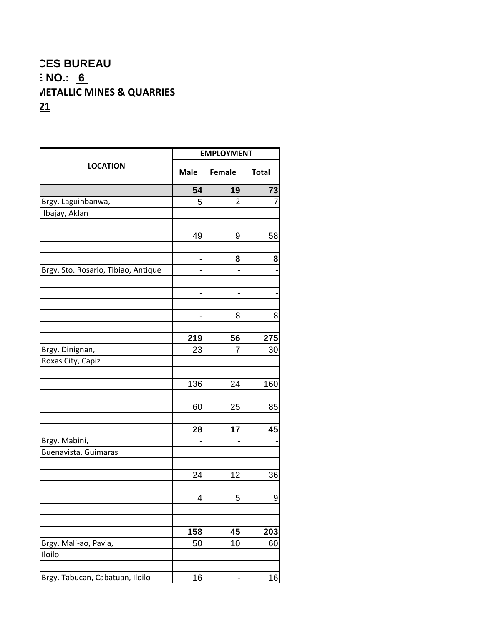## **CES BUREAU**  $R = \text{NO}$ .: 6 **AETALLIC MINES & QUARRIES**  $\underline{21}$

|                                     | <b>EMPLOYMENT</b> |        |              |
|-------------------------------------|-------------------|--------|--------------|
| <b>LOCATION</b>                     | <b>Male</b>       | Female | <b>Total</b> |
|                                     | 54                | 19     | 73           |
| Brgy. Laguinbanwa,                  | 5                 | 2      |              |
| Ibajay, Aklan                       |                   |        |              |
|                                     |                   |        |              |
|                                     | 49                | 9      | 58           |
|                                     |                   |        |              |
|                                     |                   | 8      | 8            |
| Brgy. Sto. Rosario, Tibiao, Antique |                   |        |              |
|                                     |                   |        |              |
|                                     |                   |        |              |
|                                     |                   |        |              |
|                                     |                   | 8      | 8            |
|                                     |                   |        |              |
|                                     | 219               | 56     | 275          |
| Brgy. Dinignan,                     | 23                | 7      | 30           |
| Roxas City, Capiz                   |                   |        |              |
|                                     |                   |        |              |
|                                     | 136               | 24     | 160          |
|                                     |                   |        |              |
|                                     | 60                | 25     | 85           |
|                                     |                   |        |              |
|                                     | 28                | 17     | 45           |
| Brgy. Mabini,                       |                   |        |              |
| Buenavista, Guimaras                |                   |        |              |
|                                     |                   |        |              |
|                                     | 24                | 12     | 36           |
|                                     |                   |        |              |
|                                     | 4                 | 5      | 9            |
|                                     |                   |        |              |
|                                     |                   |        |              |
|                                     | 158               | 45     | 203          |
| Brgy. Mali-ao, Pavia,<br>Iloilo     | 50                | 10     | 60           |
|                                     |                   |        |              |
|                                     |                   |        |              |
| Brgy. Tabucan, Cabatuan, Iloilo     | 16                |        | 16           |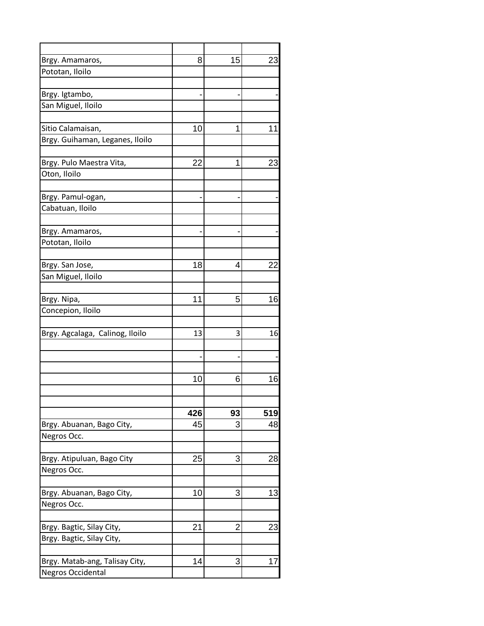| Brgy. Amamaros,                    | 8   | 15             | 23  |
|------------------------------------|-----|----------------|-----|
| Pototan, Iloilo                    |     |                |     |
|                                    |     |                |     |
| Brgy. Igtambo,                     |     |                |     |
| San Miguel, Iloilo                 |     |                |     |
|                                    |     |                |     |
| Sitio Calamaisan,                  | 10  | 1              | 11  |
| Brgy. Guihaman, Leganes, Iloilo    |     |                |     |
|                                    |     |                |     |
| Brgy. Pulo Maestra Vita,           | 22  | 1              | 23  |
| Oton, Iloilo                       |     |                |     |
|                                    |     |                |     |
| Brgy. Pamul-ogan,                  |     |                |     |
| Cabatuan, Iloilo                   |     |                |     |
|                                    |     |                |     |
| Brgy. Amamaros,<br>Pototan, Iloilo |     |                |     |
|                                    |     |                |     |
| Brgy. San Jose,                    | 18  | 4              | 22  |
| San Miguel, Iloilo                 |     |                |     |
|                                    |     |                |     |
| Brgy. Nipa,                        | 11  | 5              | 16  |
| Concepion, Iloilo                  |     |                |     |
|                                    |     |                |     |
| Brgy. Agcalaga, Calinog, Iloilo    | 13  | 3              | 16  |
|                                    |     |                |     |
|                                    |     |                |     |
|                                    |     |                |     |
|                                    | 10  | 6              | 16  |
|                                    |     |                |     |
|                                    |     |                |     |
|                                    | 426 | 93             | 519 |
| Brgy. Abuanan, Bago City,          | 45  | 3              | 48  |
| Negros Occ.                        |     |                |     |
|                                    |     |                |     |
| Brgy. Atipuluan, Bago City         | 25  | 3              | 28  |
| Negros Occ.                        |     |                |     |
|                                    |     | 3              |     |
| Brgy. Abuanan, Bago City,          | 10  |                | 13  |
| Negros Occ.                        |     |                |     |
| Brgy. Bagtic, Silay City,          | 21  | $\overline{2}$ |     |
| Brgy. Bagtic, Silay City,          |     |                | 23  |
|                                    |     |                |     |
| Brgy. Matab-ang, Talisay City,     | 14  | 3              | 17  |
| <b>Negros Occidental</b>           |     |                |     |
|                                    |     |                |     |